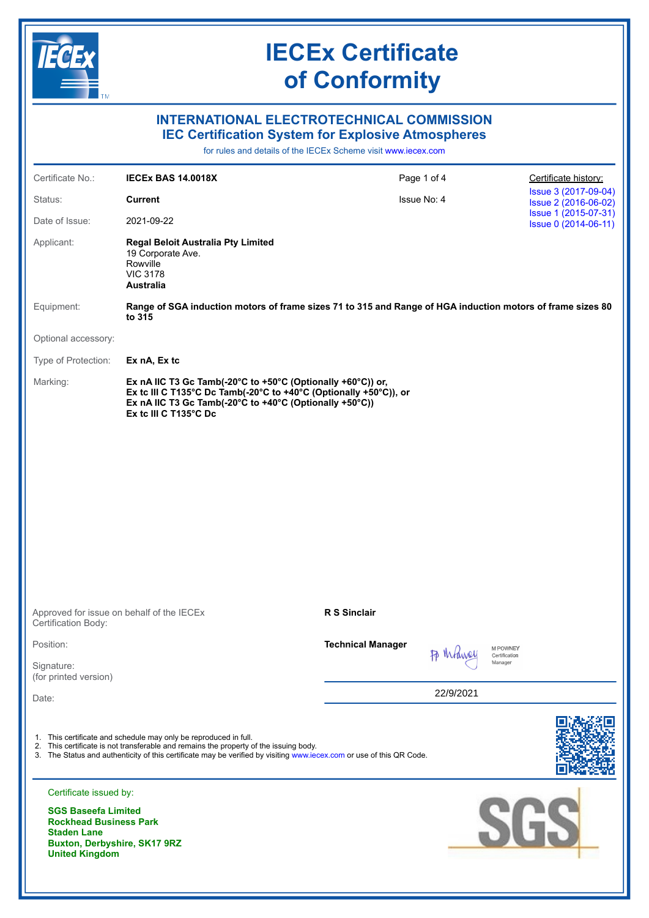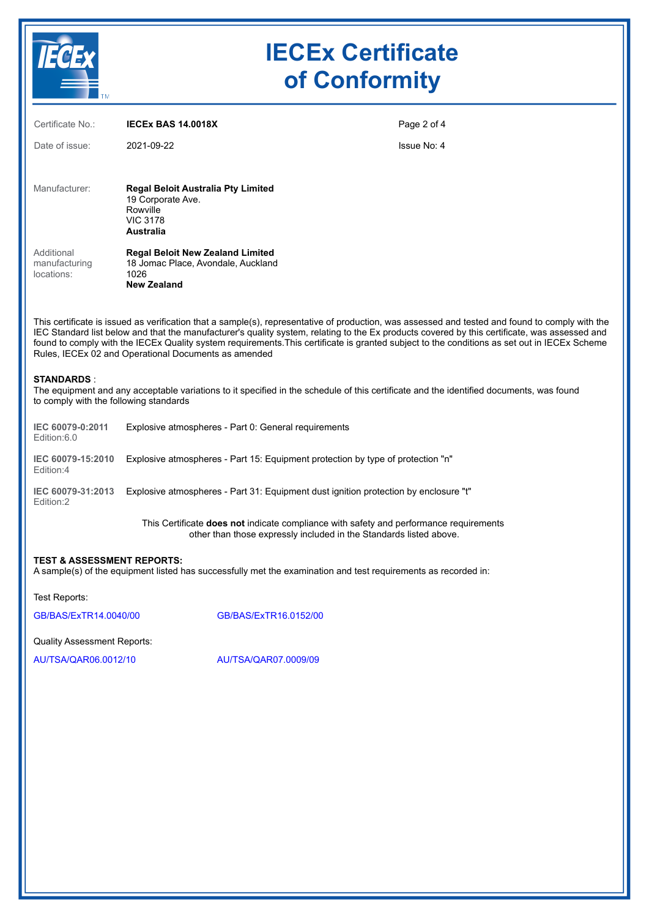

# **IECEx Certificate of Conformity**

| Certificate No.:                                                                                                                                                                                                                                                                                                                                                                                                                                                                                         | <b>IECEX BAS 14.0018X</b>                                                                                         | Page 2 of 4 |
|----------------------------------------------------------------------------------------------------------------------------------------------------------------------------------------------------------------------------------------------------------------------------------------------------------------------------------------------------------------------------------------------------------------------------------------------------------------------------------------------------------|-------------------------------------------------------------------------------------------------------------------|-------------|
| Date of issue:                                                                                                                                                                                                                                                                                                                                                                                                                                                                                           | 2021-09-22                                                                                                        | Issue No: 4 |
|                                                                                                                                                                                                                                                                                                                                                                                                                                                                                                          |                                                                                                                   |             |
| Manufacturer:                                                                                                                                                                                                                                                                                                                                                                                                                                                                                            | <b>Regal Beloit Australia Pty Limited</b><br>19 Corporate Ave.<br>Rowville<br><b>VIC 3178</b><br><b>Australia</b> |             |
| Additional<br>manufacturing<br>locations:                                                                                                                                                                                                                                                                                                                                                                                                                                                                | <b>Regal Beloit New Zealand Limited</b><br>18 Jomac Place, Avondale, Auckland<br>1026<br><b>New Zealand</b>       |             |
| This certificate is issued as verification that a sample(s), representative of production, was assessed and tested and found to comply with the<br>IEC Standard list below and that the manufacturer's quality system, relating to the Ex products covered by this certificate, was assessed and<br>found to comply with the IECEx Quality system requirements. This certificate is granted subject to the conditions as set out in IECEx Scheme<br>Rules, IECEx 02 and Operational Documents as amended |                                                                                                                   |             |
| <b>STANDARDS:</b><br>The equipment and any acceptable variations to it specified in the schedule of this certificate and the identified documents, was found<br>to comply with the following standards                                                                                                                                                                                                                                                                                                   |                                                                                                                   |             |
| IEC 60079-0:2011<br>Edition:6.0                                                                                                                                                                                                                                                                                                                                                                                                                                                                          | Explosive atmospheres - Part 0: General requirements                                                              |             |
| IEC 60079-15:2010<br>Edition:4                                                                                                                                                                                                                                                                                                                                                                                                                                                                           | Explosive atmospheres - Part 15: Equipment protection by type of protection "n"                                   |             |
| IEC 60079-31:2013<br>Edition:2                                                                                                                                                                                                                                                                                                                                                                                                                                                                           | Explosive atmospheres - Part 31: Equipment dust ignition protection by enclosure "t"                              |             |

This Certificate **does not** indicate compliance with safety and performance requirements other than those expressly included in the Standards listed above.

## **TEST & ASSESSMENT REPORTS:**

A sample(s) of the equipment listed has successfully met the examination and test requirements as recorded in:

Test Reports:

[GB/BAS/ExTR14.0040/00](https://www.iecex-certs.com/#/deliverables/REPORT/18432/view) [GB/BAS/ExTR16.0152/00](https://www.iecex-certs.com/#/deliverables/REPORT/19437/view)

Quality Assessment Reports:

[AU/TSA/QAR06.0012/10](https://www.iecex-certs.com/#/deliverables/REPORT/70884/view) [AU/TSA/QAR07.0009/09](https://www.iecex-certs.com/#/deliverables/REPORT/77075/view)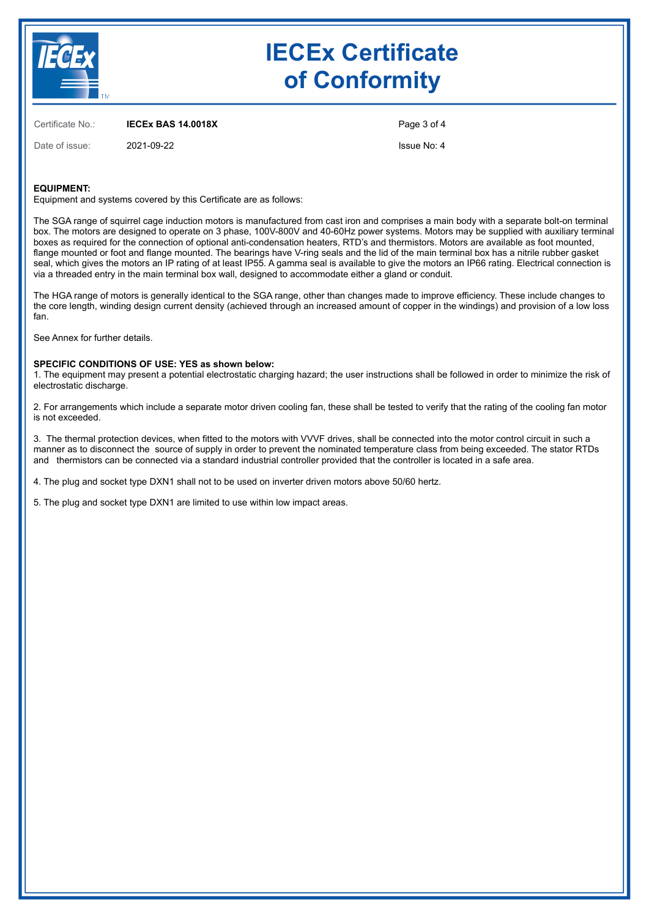

# **IECEx Certificate of Conformity**

Certificate No.: **IECEx BAS 14.0018X**

Date of issue: 2021-09-22

Page 3 of 4

Issue No: 4

## **EQUIPMENT:**

Equipment and systems covered by this Certificate are as follows:

The SGA range of squirrel cage induction motors is manufactured from cast iron and comprises a main body with a separate bolt-on terminal box. The motors are designed to operate on 3 phase, 100V-800V and 40-60Hz power systems. Motors may be supplied with auxiliary terminal boxes as required for the connection of optional anti-condensation heaters, RTD's and thermistors. Motors are available as foot mounted, flange mounted or foot and flange mounted. The bearings have V-ring seals and the lid of the main terminal box has a nitrile rubber gasket seal, which gives the motors an IP rating of at least IP55. A gamma seal is available to give the motors an IP66 rating. Electrical connection is via a threaded entry in the main terminal box wall, designed to accommodate either a gland or conduit.

The HGA range of motors is generally identical to the SGA range, other than changes made to improve efficiency. These include changes to the core length, winding design current density (achieved through an increased amount of copper in the windings) and provision of a low loss fan.

See Annex for further details.

## **SPECIFIC CONDITIONS OF USE: YES as shown below:**

1. The equipment may present a potential electrostatic charging hazard; the user instructions shall be followed in order to minimize the risk of electrostatic discharge.

2. For arrangements which include a separate motor driven cooling fan, these shall be tested to verify that the rating of the cooling fan motor is not exceeded.

3. The thermal protection devices, when fitted to the motors with VVVF drives, shall be connected into the motor control circuit in such a manner as to disconnect the source of supply in order to prevent the nominated temperature class from being exceeded. The stator RTDs and thermistors can be connected via a standard industrial controller provided that the controller is located in a safe area.

4. The plug and socket type DXN1 shall not to be used on inverter driven motors above 50/60 hertz.

5. The plug and socket type DXN1 are limited to use within low impact areas.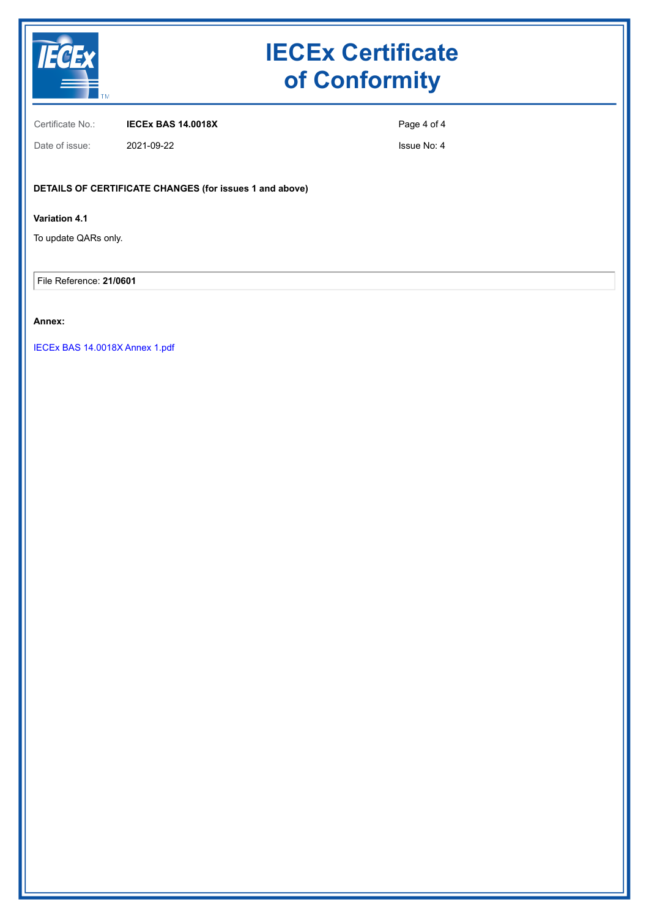

# **IECEx Certificate of Conformity**

Certificate No.: **IECEx BAS 14.0018X**

Page 4 of 4

Date of issue: 2021-09-22

Issue No: 4

## **DETAILS OF CERTIFICATE CHANGES (for issues 1 and above)**

## **Variation 4.1**

To update QARs only.

File Reference: **21/0601**

## **Annex:**

[IECEx BAS 14.0018X Annex 1.pdf](https://www.iecex-certs.com/#/deliverables/CERT/56982/view)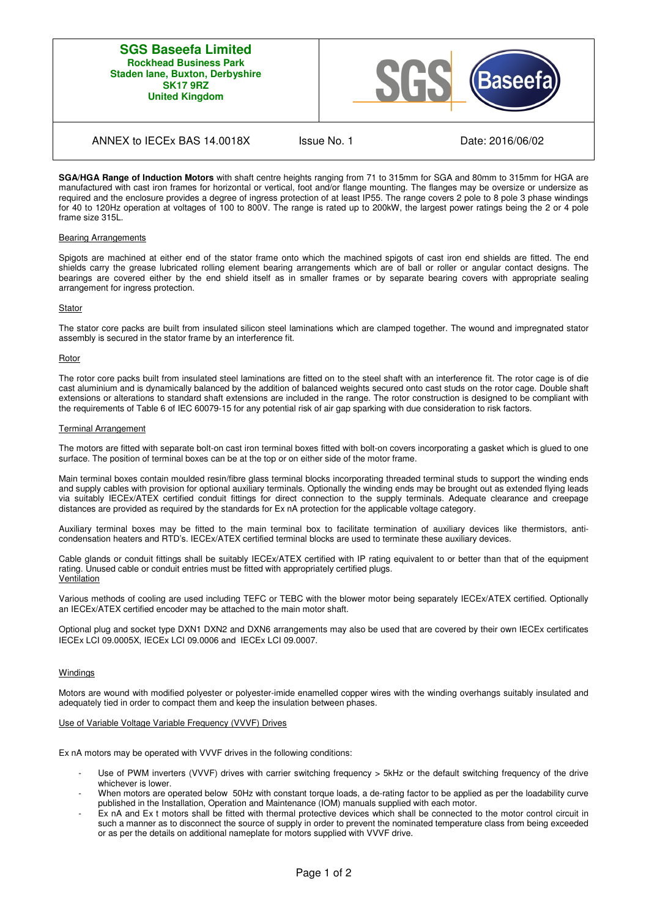## **SGS Baseefa Limited Rockhead Business Park Staden lane, Buxton, Derbyshire SK17 9RZ United Kingdom**



## ANNEX to IECEx BAS 14.0018X Issue No. 1 Date: 2016/06/02

**SGA/HGA Range of Induction Motors** with shaft centre heights ranging from 71 to 315mm for SGA and 80mm to 315mm for HGA are manufactured with cast iron frames for horizontal or vertical, foot and/or flange mounting. The flanges may be oversize or undersize as required and the enclosure provides a degree of ingress protection of at least IP55. The range covers 2 pole to 8 pole 3 phase windings for 40 to 120Hz operation at voltages of 100 to 800V. The range is rated up to 200kW, the largest power ratings being the 2 or 4 pole frame size 315L.

#### Bearing Arrangements

Spigots are machined at either end of the stator frame onto which the machined spigots of cast iron end shields are fitted. The end shields carry the grease lubricated rolling element bearing arrangements which are of ball or roller or angular contact designs. The bearings are covered either by the end shield itself as in smaller frames or by separate bearing covers with appropriate sealing arrangement for ingress protection.

#### Stator

The stator core packs are built from insulated silicon steel laminations which are clamped together. The wound and impregnated stator assembly is secured in the stator frame by an interference fit.

#### Rotor

The rotor core packs built from insulated steel laminations are fitted on to the steel shaft with an interference fit. The rotor cage is of die cast aluminium and is dynamically balanced by the addition of balanced weights secured onto cast studs on the rotor cage. Double shaft extensions or alterations to standard shaft extensions are included in the range. The rotor construction is designed to be compliant with the requirements of Table 6 of IEC 60079-15 for any potential risk of air gap sparking with due consideration to risk factors.

#### Terminal Arrangement

The motors are fitted with separate bolt-on cast iron terminal boxes fitted with bolt-on covers incorporating a gasket which is glued to one surface. The position of terminal boxes can be at the top or on either side of the motor frame.

Main terminal boxes contain moulded resin/fibre glass terminal blocks incorporating threaded terminal studs to support the winding ends and supply cables with provision for optional auxiliary terminals. Optionally the winding ends may be brought out as extended flying leads via suitably IECEx/ATEX certified conduit fittings for direct connection to the supply terminals. Adequate clearance and creepage distances are provided as required by the standards for Ex nA protection for the applicable voltage category.

Auxiliary terminal boxes may be fitted to the main terminal box to facilitate termination of auxiliary devices like thermistors, anticondensation heaters and RTD's. IECEx/ATEX certified terminal blocks are used to terminate these auxiliary devices.

Cable glands or conduit fittings shall be suitably IECEx/ATEX certified with IP rating equivalent to or better than that of the equipment rating. Unused cable or conduit entries must be fitted with appropriately certified plugs. Ventilation

Various methods of cooling are used including TEFC or TEBC with the blower motor being separately IECEx/ATEX certified. Optionally an IECEx/ATEX certified encoder may be attached to the main motor shaft.

Optional plug and socket type DXN1 DXN2 and DXN6 arrangements may also be used that are covered by their own IECEx certificates IECEx LCI 09.0005X, IECEx LCI 09.0006 and IECEx LCI 09.0007.

#### **Windings**

Motors are wound with modified polyester or polyester-imide enamelled copper wires with the winding overhangs suitably insulated and adequately tied in order to compact them and keep the insulation between phases.

## Use of Variable Voltage Variable Frequency (VVVF) Drives

Ex nA motors may be operated with VVVF drives in the following conditions:

- Use of PWM inverters (VVVF) drives with carrier switching frequency > 5kHz or the default switching frequency of the drive whichever is lower.
- When motors are operated below 50Hz with constant torque loads, a de-rating factor to be applied as per the loadability curve published in the Installation, Operation and Maintenance (IOM) manuals supplied with each motor.
- Ex nA and Ex t motors shall be fitted with thermal protective devices which shall be connected to the motor control circuit in such a manner as to disconnect the source of supply in order to prevent the nominated temperature class from being exceeded or as per the details on additional nameplate for motors supplied with VVVF drive.